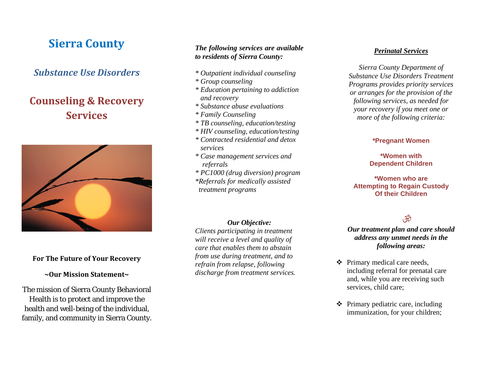# **Sierra County**

# *Substance Use Disorders*

# **Counseling & Recovery Services**



### **For The Future of Your Recovery**

#### **~Our Mission Statement~**

The mission of Sierra County Behavioral Health is to protect and improve the health and well-being of the individual, family, and community in Sierra County.

## *The following services are available to residents of Sierra County:*

- *\* Outpatient individual counseling*
- *\* Group counseling*
- *\* Education pertaining to addiction and recovery*
- *\* Substance abuse evaluations*
- *\* Family Counseling*
- *\* TB counseling, education/testing*
- *\* HIV counseling, education/testing*
- *\* Contracted residential and detox services*
- *\* Case management services and referrals*
- *\* PC1000 (drug diversion) program \*Referrals for medically assisted*

 *treatment programs* 

#### *Our Objective:*

*Clients participating in treatment will receive a level and quality of care that enables them to abstain from use during treatment, and to refrain from relapse, following discharge from treatment services.* 

#### *Perinatal Services*

*Sierra County Department of Substance Use Disorders Treatment Programs provides priority services or arranges for the provision of the following services, as needed for your recovery if you meet one or more of the following criteria:* 

## **\*Pregnant Women**

**\*Women with Dependent Children** 

#### **\*Women who are Attempting to Regain Custody Of their Children**

# $30$

### *Our treatment plan and care should address any unmet needs in the following areas:*

- Primary medical care needs, including referral for prenatal care and, while you are receiving such services, child care;
- $\triangleleft$  Primary pediatric care, including immunization, for your children;